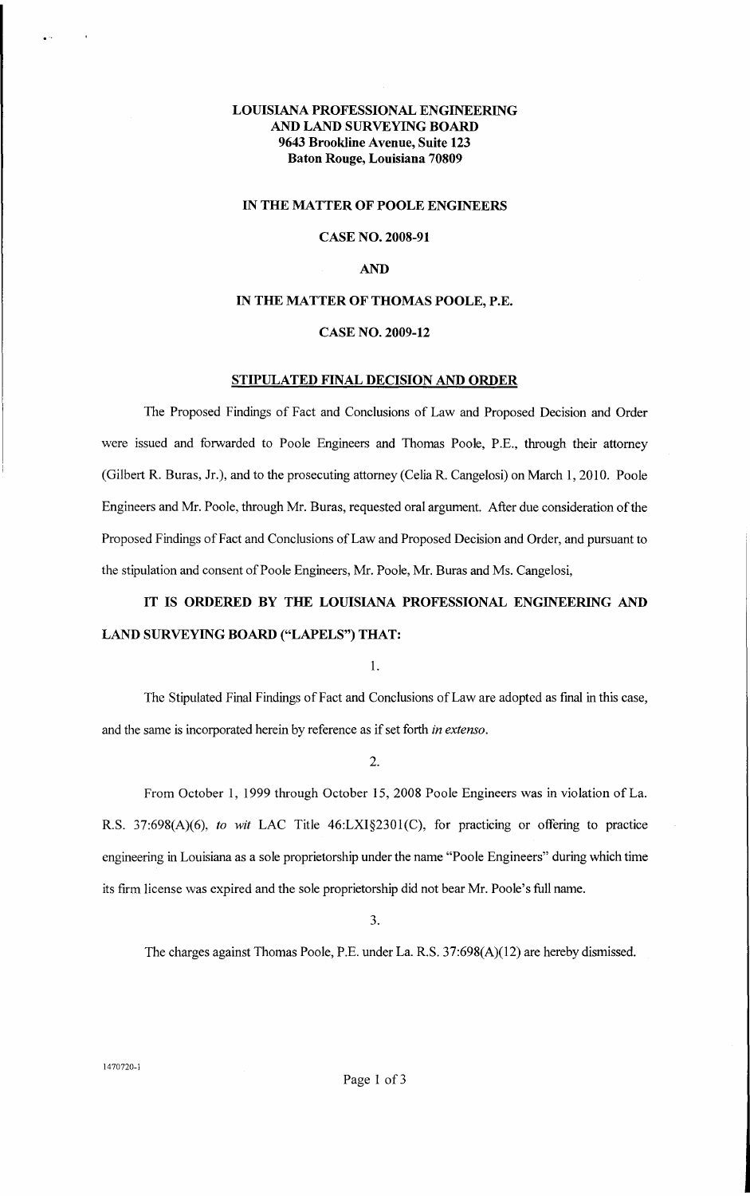# **LOillSIANA PROFESSIONAL ENGINEERING AND LAND SURVEYING BOARD 9643 Brookline Avenue, Suite 123 Baton Rouge, Louisiana 70809**

#### **IN THE MATTER OF POOLE ENGINEERS**

### **CASE NO. 2008-91**

## **AND**

# **IN THE MATTER OF THOMAS POOLE, P.E.**

### **CASE NO. 2009-12**

## **STIPULATED FINAL DECISION AND ORDER**

The Proposed Findings of Fact and Conclusions of Law and Proposed Decision and Order were issued and forwarded to Poole Engineers and Thomas Poole, P.E., through their attorney (Gilbert R. Buras, Jr.), and to the prosecuting attorney (Celia R. Cangelosi) on March 1, 2010. Poole Engineers and Mr. Poole, through Mr. Buras, requested oral argument. After due consideration of the Proposed Findings of Fact and Conclusions of Law and Proposed Decision and Order, and pursuant to the stipulation and consent of Poole Engineers, Mr. Poole, Mr. Buras and Ms. Cangelosi,

# **IT IS ORDERED BY THE LOUISIANA PROFESSIONAL ENGINEERING AND LAND SURVEYING BOARD ("LAPELS") THAT:**

1.

The Stipulated Final Findings of Fact and Conclusions ofLaw are adopted as fmal in this case, and the same is incorporated herein by reference as if set forth *in extenso.* 

2.

From October 1, 1999 through October 15, 2008 Poole Engineers was in violation ofLa. R.S. 37:698(A)(6), *to wit* LAC Title 46:LXI§2301(C), for practicing or offering to practice engineering in Louisiana as a sole proprietorship under the name "Poole Engineers" during which time its firm license was expired and the sole proprietorship did not bear Mr. Poole's full name.

3.

The charges against Thomas Poole, P.E. under La. R.S. 37:698(A)(12) are hereby dismissed.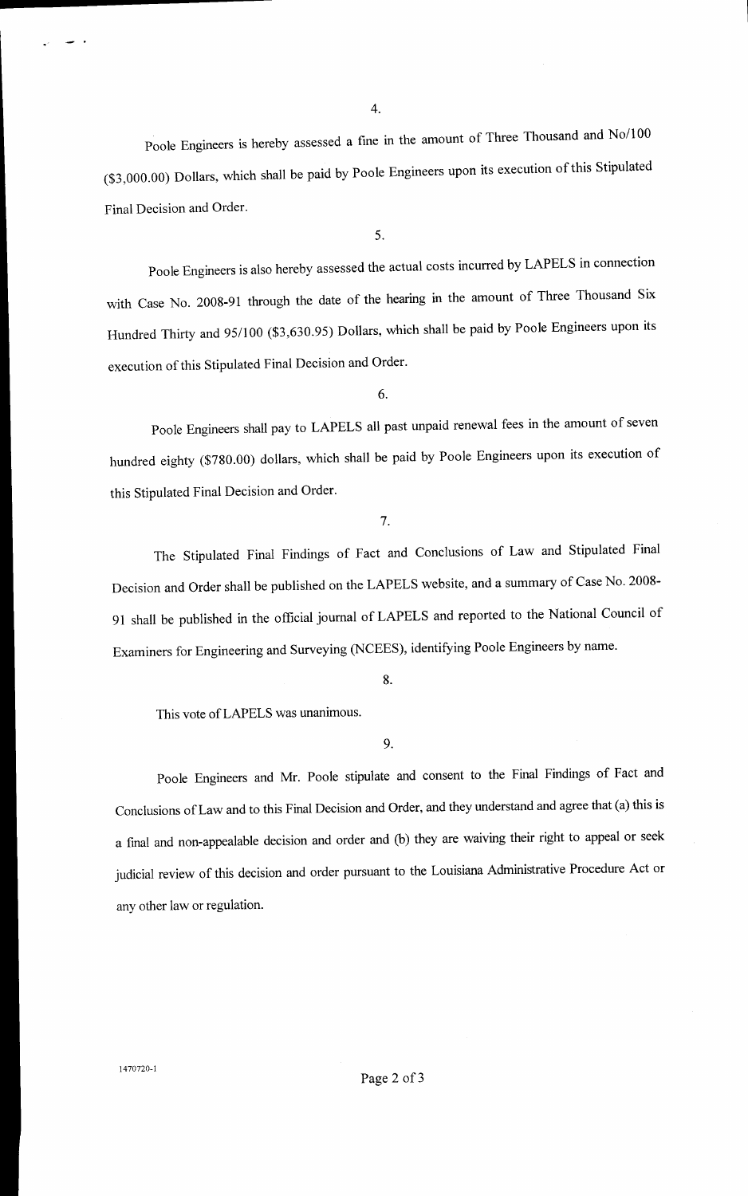Poole Engineers is hereby assessed a fine in the amount of Three Thousand and No/100 (\$3,000.00) Dollars, which shall be paid by Poole Engineers upon its execution of this Stipulated Final Decision and Order.

5.

Poole Engineers is also hereby assessed the actual costs incurred by LAPELS in connection with Case No. 2008-91 through the date of the hearing in the amount of Three Thousand Six Hundred Thirty and 95/100 (\$3,630.95) Dollars, which shall be paid by Poole Engineers upon its execution of this Stipulated Final Decision and Order.

6.

Poole Engineers shall pay to LAPELS all past unpaid renewal fees in the amount of seven hundred eighty (\$780.00) dollars, which shall be paid by Poole Engineers upon its execution of this Stipulated Final Decision and Order.

7.

The Stipulated Final Findings of Fact and Conclusions of Law and Stipulated Final Decision and Order shall be published on the LAPELS website, and a summary of Case No. 2008- 91 shall be published in the official journal of LAPELS and reported to the National Council of Examiners for Engineering and Surveying (NCEES), identifying Poole Engineers by name.

8.

This vote ofLAPELS was unanimous.

## 9.

Poole Engineers and Mr. Poole stipulate and consent to the Final Findings of Fact and Conclusions of Law and to this Final Decision and Order, and they understand and agree that (a) this is a fmal and non-appealable decision and order and (b) they are waiving their right to appeal or seek judicial review of this decision and order pursuant to the Louisiana Administrative Procedure Act or any other law or regulation.

1470720-1